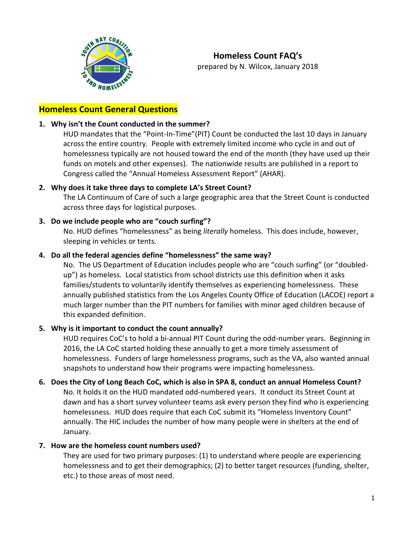

## **Homeless Count General Questions**

### **1. Why isn't the Count conducted in the summer?**

HUD mandates that the "Point-In-Time"(PIT) Count be conducted the last 10 days in January across the entire country. People with extremely limited income who cycle in and out of homelessness typically are not housed toward the end of the month (they have used up their funds on motels and other expenses). The nationwide results are published in a report to Congress called the "Annual Homeless Assessment Report" (AHAR).

### **2. Why does it take three days to complete LA's Street Count?**

The LA Continuum of Care of such a large geographic area that the Street Count is conducted across three days for logistical purposes.

### **3. Do we include people who are "couch surfing"?**

No. HUD defines "homelessness" as being *literally* homeless. This does include, however, sleeping in vehicles or tents.

### **4. Do all the federal agencies define "homelessness" the same way?**

No. The US Department of Education includes people who are "couch surfing" (or "doubledup") as homeless. Local statistics from school districts use this definition when it asks families/students to voluntarily identify themselves as experiencing homelessness. These annually published statistics from the Los Angeles County Office of Education (LACOE) report a much larger number than the PIT numbers for families with minor aged children because of this expanded definition.

### **5. Why is it important to conduct the count annually?**

HUD requires CoC's to hold a bi-annual PIT Count during the odd-number years. Beginning in 2016, the LA CoC started holding these annually to get a more timely assessment of homelessness. Funders of large homelessness programs, such as the VA, also wanted annual snapshots to understand how their programs were impacting homelessness.

### **6. Does the City of Long Beach CoC, which is also in SPA 8, conduct an annual Homeless Count?**

No. It holds it on the HUD mandated odd-numbered years. It conduct its Street Count at dawn and has a short survey volunteer teams ask every person they find who is experiencing homelessness. HUD does require that each CoC submit its "Homeless Inventory Count" annually. The HIC includes the number of how many people were in shelters at the end of January.

### **7. How are the homeless count numbers used?**

They are used for two primary purposes: (1) to understand where people are experiencing homelessness and to get their demographics; (2) to better target resources (funding, shelter, etc.) to those areas of most need.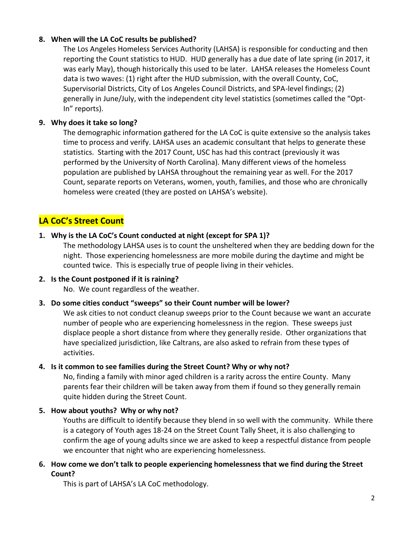## **8. When will the LA CoC results be published?**

The Los Angeles Homeless Services Authority (LAHSA) is responsible for conducting and then reporting the Count statistics to HUD. HUD generally has a due date of late spring (in 2017, it was early May), though historically this used to be later. LAHSA releases the Homeless Count data is two waves: (1) right after the HUD submission, with the overall County, CoC, Supervisorial Districts, City of Los Angeles Council Districts, and SPA-level findings; (2) generally in June/July, with the independent city level statistics (sometimes called the "Opt-In" reports).

## **9. Why does it take so long?**

The demographic information gathered for the LA CoC is quite extensive so the analysis takes time to process and verify. LAHSA uses an academic consultant that helps to generate these statistics. Starting with the 2017 Count, USC has had this contract (previously it was performed by the University of North Carolina). Many different views of the homeless population are published by LAHSA throughout the remaining year as well. For the 2017 Count, separate reports on Veterans, women, youth, families, and those who are chronically homeless were created (they are posted on LAHSA's website).

# **LA CoC's Street Count**

## **1. Why is the LA CoC's Count conducted at night (except for SPA 1)?**

The methodology LAHSA uses is to count the unsheltered when they are bedding down for the night. Those experiencing homelessness are more mobile during the daytime and might be counted twice. This is especially true of people living in their vehicles.

## **2. Is the Count postponed if it is raining?**

No. We count regardless of the weather.

# **3. Do some cities conduct "sweeps" so their Count number will be lower?**

We ask cities to not conduct cleanup sweeps prior to the Count because we want an accurate number of people who are experiencing homelessness in the region. These sweeps just displace people a short distance from where they generally reside. Other organizations that have specialized jurisdiction, like Caltrans, are also asked to refrain from these types of activities.

## **4. Is it common to see families during the Street Count? Why or why not?**

No, finding a family with minor aged children is a rarity across the entire County. Many parents fear their children will be taken away from them if found so they generally remain quite hidden during the Street Count.

# **5. How about youths? Why or why not?**

Youths are difficult to identify because they blend in so well with the community. While there is a category of Youth ages 18-24 on the Street Count Tally Sheet, it is also challenging to confirm the age of young adults since we are asked to keep a respectful distance from people we encounter that night who are experiencing homelessness.

## **6. How come we don't talk to people experiencing homelessness that we find during the Street Count?**

This is part of LAHSA's LA CoC methodology.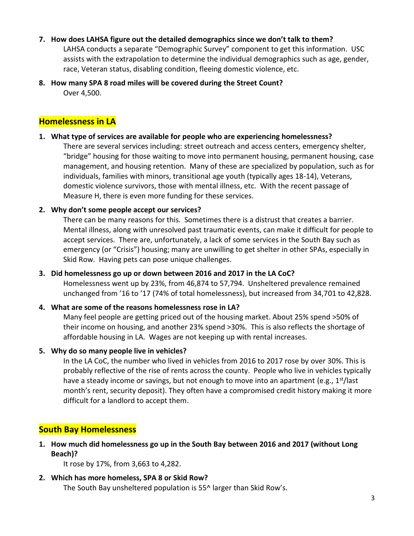### **7. How does LAHSA figure out the detailed demographics since we don't talk to them?**

LAHSA conducts a separate "Demographic Survey" component to get this information. USC assists with the extrapolation to determine the individual demographics such as age, gender, race, Veteran status, disabling condition, fleeing domestic violence, etc.

**8. How many SPA 8 road miles will be covered during the Street Count?** Over 4,500.

## **Homelessness in LA**

### **1. What type of services are available for people who are experiencing homelessness?**

There are several services including: street outreach and access centers, emergency shelter, "bridge" housing for those waiting to move into permanent housing, permanent housing, case management, and housing retention. Many of these are specialized by population, such as for individuals, families with minors, transitional age youth (typically ages 18-14), Veterans, domestic violence survivors, those with mental illness, etc. With the recent passage of Measure H, there is even more funding for these services.

### **2. Why don't some people accept our services?**

There can be many reasons for this. Sometimes there is a distrust that creates a barrier. Mental illness, along with unresolved past traumatic events, can make it difficult for people to accept services. There are, unfortunately, a lack of some services in the South Bay such as emergency (or "Crisis") housing; many are unwilling to get shelter in other SPAs, especially in Skid Row. Having pets can pose unique challenges.

### **3. Did homelessness go up or down between 2016 and 2017 in the LA CoC?**

Homelessness went up by 23%, from 46,874 to 57,794. Unsheltered prevalence remained unchanged from '16 to '17 (74% of total homelessness), but increased from 34,701 to 42,828.

## **4. What are some of the reasons homelessness rose in LA?**

Many feel people are getting priced out of the housing market. About 25% spend >50% of their income on housing, and another 23% spend >30%. This is also reflects the shortage of affordable housing in LA. Wages are not keeping up with rental increases.

## **5. Why do so many people live in vehicles?**

In the LA CoC, the number who lived in vehicles from 2016 to 2017 rose by over 30%. This is probably reflective of the rise of rents across the county. People who live in vehicles typically have a steady income or savings, but not enough to move into an apartment (e.g.,  $1^{st}/$ last month's rent, security deposit). They often have a compromised credit history making it more difficult for a landlord to accept them.

# **South Bay Homelessness**

**1. How much did homelessness go up in the South Bay between 2016 and 2017 (without Long Beach)?**

It rose by 17%, from 3,663 to 4,282.

**2. Which has more homeless, SPA 8 or Skid Row?** The South Bay unsheltered population is 55^ larger than Skid Row's.